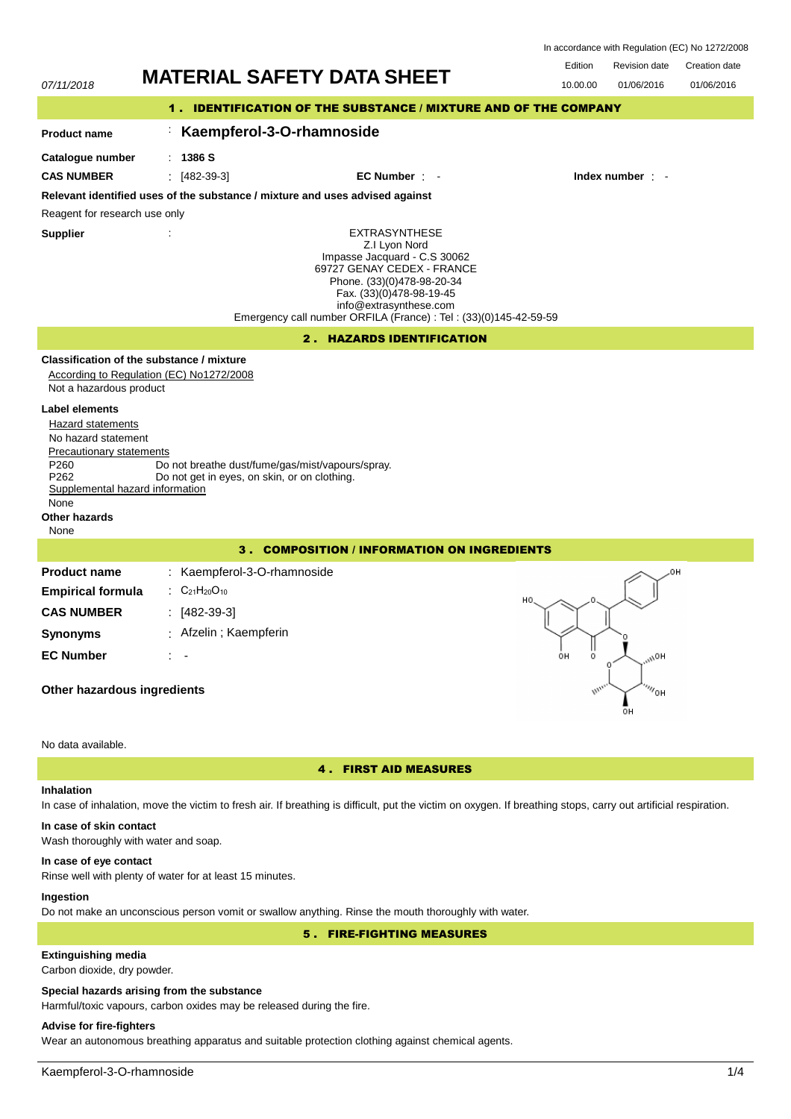| In accordance with Regulation (EC) No 1272/2008 |  |  |
|-------------------------------------------------|--|--|
|-------------------------------------------------|--|--|

| <b>Pavicion data</b> | Creation date |
|----------------------|---------------|



## In case of inhalation, move the victim to fresh air. If breathing is difficult, put the victim on oxygen. If breathing stops, carry out artificial respiration.

# **In case of skin contact**

Wash thoroughly with water and soap.

## **In case of eye contact**

Rinse well with plenty of water for at least 15 minutes.

## **Ingestion**

Do not make an unconscious person vomit or swallow anything. Rinse the mouth thoroughly with water.

5 . FIRE-FIGHTING MEASURES

# **Extinguishing media**

Carbon dioxide, dry powder.

## **Special hazards arising from the substance**

Harmful/toxic vapours, carbon oxides may be released during the fire.

## **Advise for fire-fighters**

Wear an autonomous breathing apparatus and suitable protection clothing against chemical agents.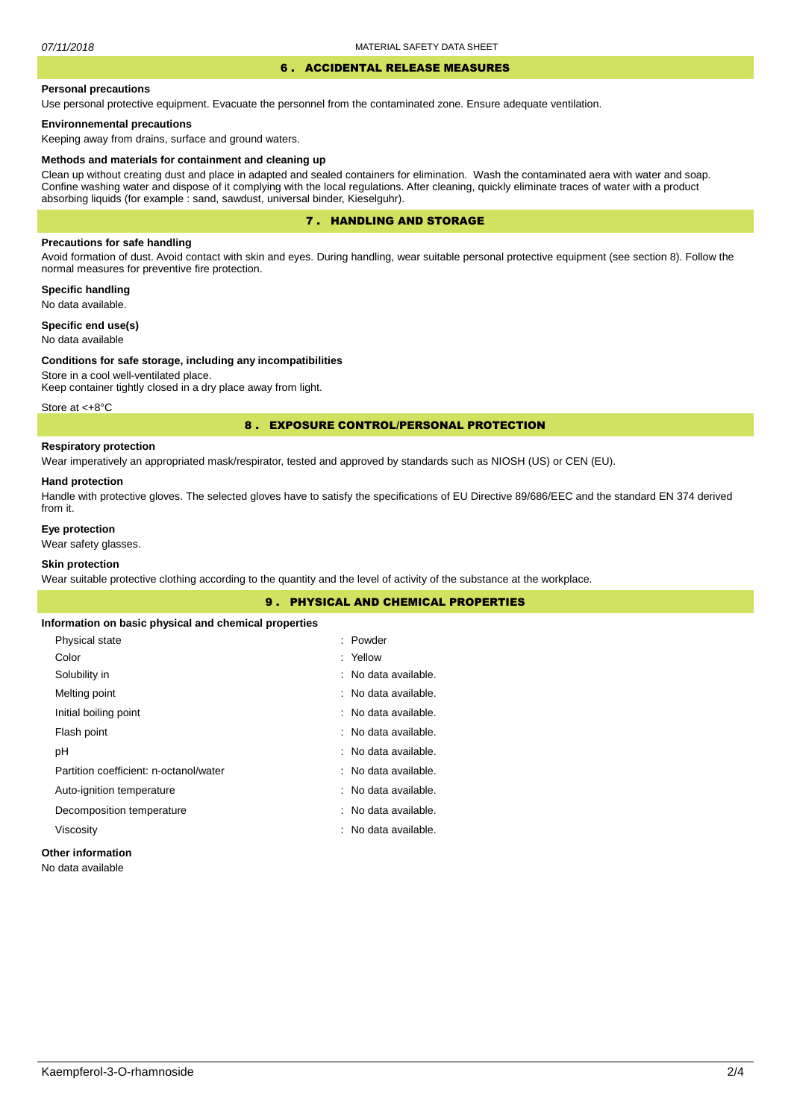#### 6 . ACCIDENTAL RELEASE MEASURES

### **Personal precautions**

Use personal protective equipment. Evacuate the personnel from the contaminated zone. Ensure adequate ventilation.

## **Environnemental precautions**

Keeping away from drains, surface and ground waters.

#### **Methods and materials for containment and cleaning up**

Clean up without creating dust and place in adapted and sealed containers for elimination. Wash the contaminated aera with water and soap. Confine washing water and dispose of it complying with the local regulations. After cleaning, quickly eliminate traces of water with a product absorbing liquids (for example : sand, sawdust, universal binder, Kieselguhr).

## 7 . HANDLING AND STORAGE

## **Precautions for safe handling**

Avoid formation of dust. Avoid contact with skin and eyes. During handling, wear suitable personal protective equipment (see section 8). Follow the normal measures for preventive fire protection.

**Specific handling** No data available.

**Specific end use(s)**

# No data available

#### **Conditions for safe storage, including any incompatibilities**

Store in a cool well-ventilated place. Keep container tightly closed in a dry place away from light.

Store at <+8°C

## 8 . EXPOSURE CONTROL/PERSONAL PROTECTION

# **Respiratory protection**

Wear imperatively an appropriated mask/respirator, tested and approved by standards such as NIOSH (US) or CEN (EU).

#### **Hand protection**

Handle with protective gloves. The selected gloves have to satisfy the specifications of EU Directive 89/686/EEC and the standard EN 374 derived from it.

## **Eye protection**

Wear safety glasses.

## **Skin protection**

Wear suitable protective clothing according to the quantity and the level of activity of the substance at the workplace.

|                                                       | <b>9. PHYSICAL AND CHEMICAL PROPERTIES</b> |  |
|-------------------------------------------------------|--------------------------------------------|--|
| Information on basic physical and chemical properties |                                            |  |
| Physical state                                        | : Powder                                   |  |
| Color                                                 | : Yellow                                   |  |
| Solubility in                                         | : No data available.                       |  |
| Melting point                                         | : No data available.                       |  |
| Initial boiling point                                 | : No data available.                       |  |
| Flash point                                           | : No data available.                       |  |
| рH                                                    | : No data available.                       |  |
| Partition coefficient: n-octanol/water                | : No data available.                       |  |
| Auto-ignition temperature                             | : No data available.                       |  |
| Decomposition temperature                             | : No data available.                       |  |
| Viscosity                                             | : No data available.                       |  |
| Other information                                     |                                            |  |

# **Other information**

No data available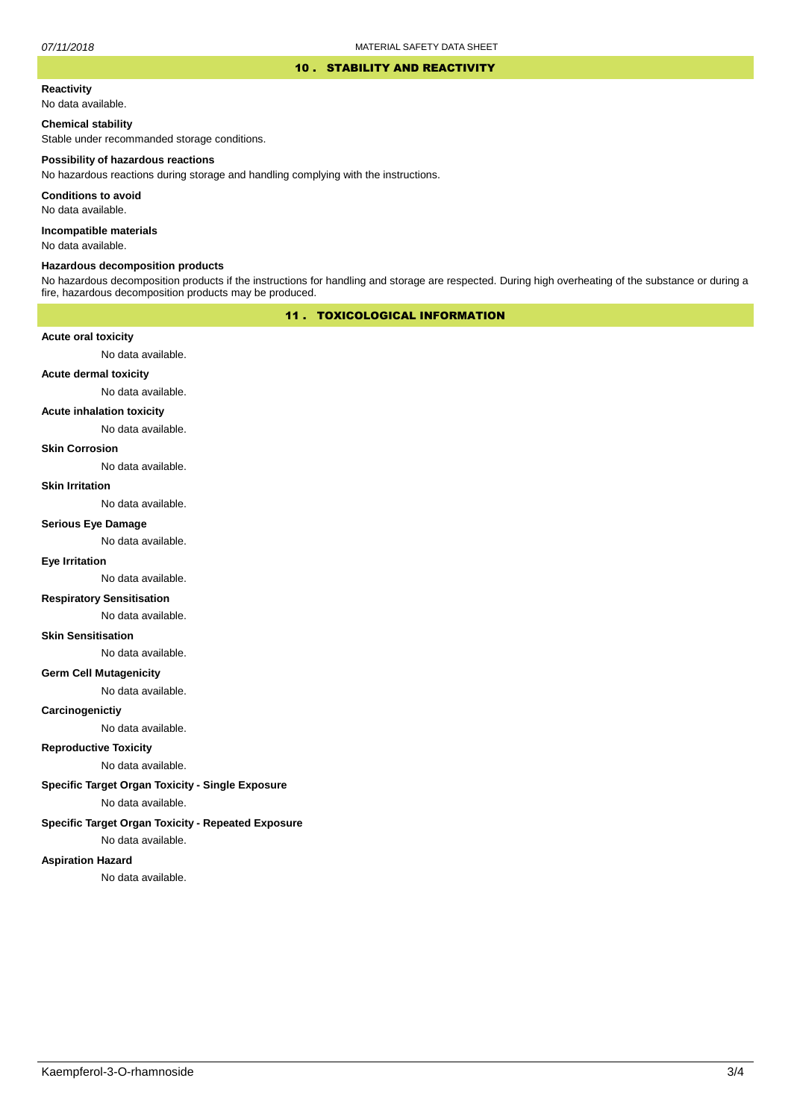### 10 . STABILITY AND REACTIVITY

# **Reactivity**

No data available.

## **Chemical stability**

Stable under recommanded storage conditions.

#### **Possibility of hazardous reactions**

No hazardous reactions during storage and handling complying with the instructions.

**Conditions to avoid**

No data available.

**Incompatible materials**

No data available.

## **Hazardous decomposition products**

No hazardous decomposition products if the instructions for handling and storage are respected. During high overheating of the substance or during a fire, hazardous decomposition products may be produced.

## 11 . TOXICOLOGICAL INFORMATION

## **Acute oral toxicity**

No data available.

# **Acute dermal toxicity**

No data available.

#### **Acute inhalation toxicity**

No data available.

## **Skin Corrosion**

No data available.

#### **Skin Irritation**

No data available.

# **Serious Eye Damage**

No data available.

# **Eye Irritation**

No data available.

## **Respiratory Sensitisation**

No data available.

### **Skin Sensitisation**

No data available.

## **Germ Cell Mutagenicity**

No data available.

## **Carcinogenictiy**

No data available.

## **Reproductive Toxicity**

No data available.

## **Specific Target Organ Toxicity - Single Exposure**

No data available.

## **Specific Target Organ Toxicity - Repeated Exposure**

No data available.

### **Aspiration Hazard**

No data available.